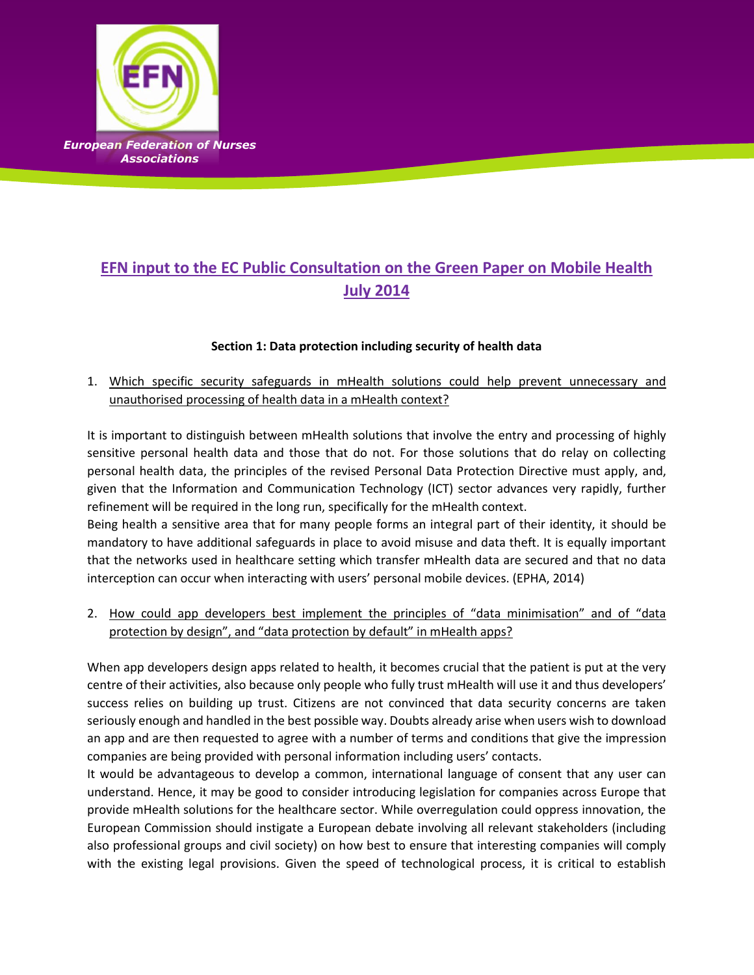

# **EFN input to the EC Public Consultation on the Green Paper on Mobile Health July 2014**

### **Section 1: Data protection including security of health data**

1. Which specific security safeguards in mHealth solutions could help prevent unnecessary and unauthorised processing of health data in a mHealth context?

It is important to distinguish between mHealth solutions that involve the entry and processing of highly sensitive personal health data and those that do not. For those solutions that do relay on collecting personal health data, the principles of the revised Personal Data Protection Directive must apply, and, given that the Information and Communication Technology (ICT) sector advances very rapidly, further refinement will be required in the long run, specifically for the mHealth context. Being health a sensitive area that for many people forms an integral part of their identity, it should be

mandatory to have additional safeguards in place to avoid misuse and data theft. It is equally important that the networks used in healthcare setting which transfer mHealth data are secured and that no data interception can occur when interacting with users' personal mobile devices. (EPHA, 2014)

2. How could app developers best implement the principles of "data minimisation" and of "data protection by design", and "data protection by default" in mHealth apps?

When app developers design apps related to health, it becomes crucial that the patient is put at the very centre of their activities, also because only people who fully trust mHealth will use it and thus developers' success relies on building up trust. Citizens are not convinced that data security concerns are taken seriously enough and handled in the best possible way. Doubts already arise when users wish to download an app and are then requested to agree with a number of terms and conditions that give the impression companies are being provided with personal information including users' contacts.

It would be advantageous to develop a common, international language of consent that any user can understand. Hence, it may be good to consider introducing legislation for companies across Europe that provide mHealth solutions for the healthcare sector. While overregulation could oppress innovation, the European Commission should instigate a European debate involving all relevant stakeholders (including also professional groups and civil society) on how best to ensure that interesting companies will comply with the existing legal provisions. Given the speed of technological process, it is critical to establish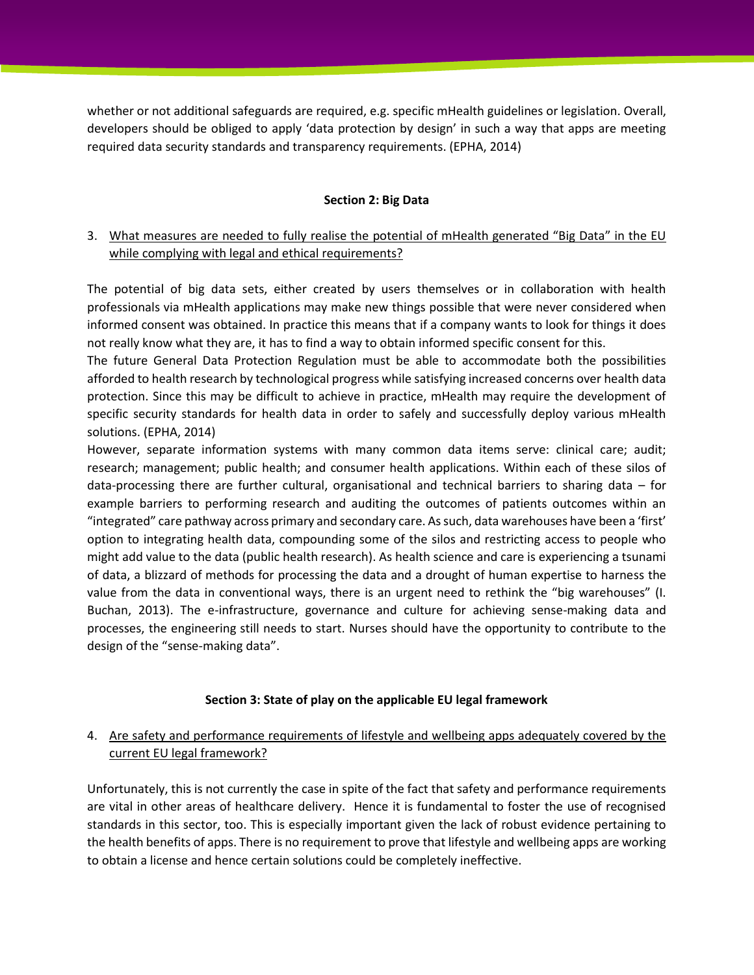whether or not additional safeguards are required, e.g. specific mHealth guidelines or legislation. Overall, developers should be obliged to apply 'data protection by design' in such a way that apps are meeting required data security standards and transparency requirements. (EPHA, 2014)

#### **Section 2: Big Data**

# 3. What measures are needed to fully realise the potential of mHealth generated "Big Data" in the EU while complying with legal and ethical requirements?

The potential of big data sets, either created by users themselves or in collaboration with health professionals via mHealth applications may make new things possible that were never considered when informed consent was obtained. In practice this means that if a company wants to look for things it does not really know what they are, it has to find a way to obtain informed specific consent for this.

The future General Data Protection Regulation must be able to accommodate both the possibilities afforded to health research by technological progress while satisfying increased concerns over health data protection. Since this may be difficult to achieve in practice, mHealth may require the development of specific security standards for health data in order to safely and successfully deploy various mHealth solutions. (EPHA, 2014)

However, separate information systems with many common data items serve: clinical care; audit; research; management; public health; and consumer health applications. Within each of these silos of data-processing there are further cultural, organisational and technical barriers to sharing data – for example barriers to performing research and auditing the outcomes of patients outcomes within an "integrated" care pathway across primary and secondary care. As such, data warehouses have been a 'first' option to integrating health data, compounding some of the silos and restricting access to people who might add value to the data (public health research). As health science and care is experiencing a tsunami of data, a blizzard of methods for processing the data and a drought of human expertise to harness the value from the data in conventional ways, there is an urgent need to rethink the "big warehouses" (I. Buchan, 2013). The e-infrastructure, governance and culture for achieving sense-making data and processes, the engineering still needs to start. Nurses should have the opportunity to contribute to the design of the "sense-making data".

#### **Section 3: State of play on the applicable EU legal framework**

# 4. Are safety and performance requirements of lifestyle and wellbeing apps adequately covered by the current EU legal framework?

Unfortunately, this is not currently the case in spite of the fact that safety and performance requirements are vital in other areas of healthcare delivery. Hence it is fundamental to foster the use of recognised standards in this sector, too. This is especially important given the lack of robust evidence pertaining to the health benefits of apps. There is no requirement to prove that lifestyle and wellbeing apps are working to obtain a license and hence certain solutions could be completely ineffective.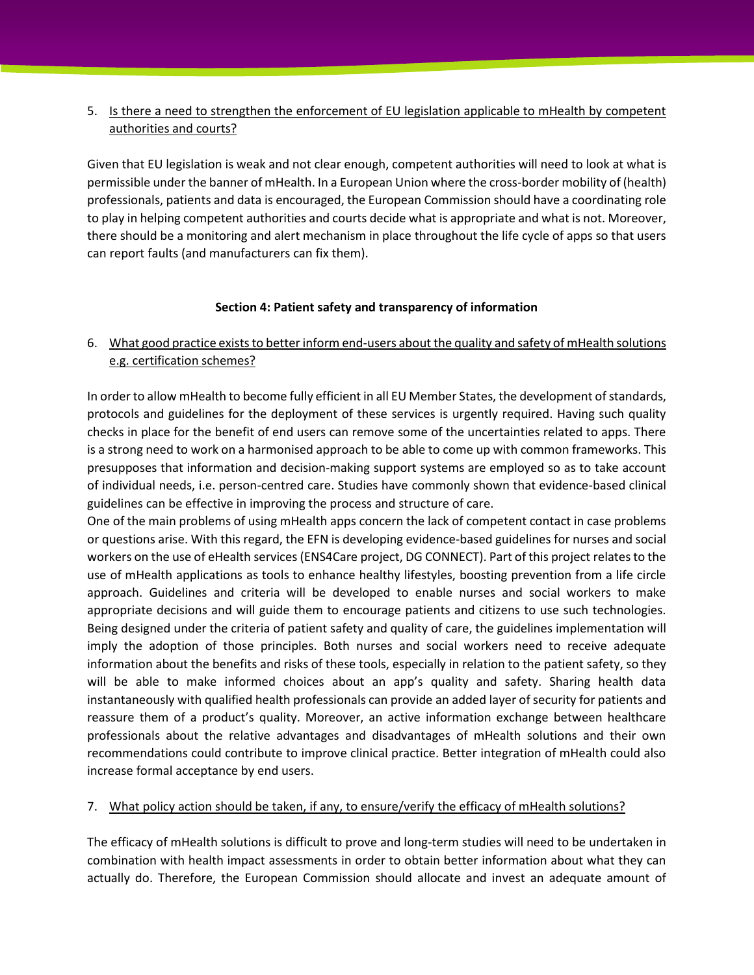# 5. Is there a need to strengthen the enforcement of EU legislation applicable to mHealth by competent authorities and courts?

Given that EU legislation is weak and not clear enough, competent authorities will need to look at what is permissible under the banner of mHealth. In a European Union where the cross-border mobility of (health) professionals, patients and data is encouraged, the European Commission should have a coordinating role to play in helping competent authorities and courts decide what is appropriate and what is not. Moreover, there should be a monitoring and alert mechanism in place throughout the life cycle of apps so that users can report faults (and manufacturers can fix them).

### **Section 4: Patient safety and transparency of information**

# 6. What good practice exists to better inform end-users about the quality and safety of mHealth solutions e.g. certification schemes?

In order to allow mHealth to become fully efficient in all EU Member States, the development of standards, protocols and guidelines for the deployment of these services is urgently required. Having such quality checks in place for the benefit of end users can remove some of the uncertainties related to apps. There is a strong need to work on a harmonised approach to be able to come up with common frameworks. This presupposes that information and decision-making support systems are employed so as to take account of individual needs, i.e. person-centred care. Studies have commonly shown that evidence-based clinical guidelines can be effective in improving the process and structure of care.

One of the main problems of using mHealth apps concern the lack of competent contact in case problems or questions arise. With this regard, the EFN is developing evidence-based guidelines for nurses and social workers on the use of eHealth services (ENS4Care project, DG CONNECT). Part of this project relates to the use of mHealth applications as tools to enhance healthy lifestyles, boosting prevention from a life circle approach. Guidelines and criteria will be developed to enable nurses and social workers to make appropriate decisions and will guide them to encourage patients and citizens to use such technologies. Being designed under the criteria of patient safety and quality of care, the guidelines implementation will imply the adoption of those principles. Both nurses and social workers need to receive adequate information about the benefits and risks of these tools, especially in relation to the patient safety, so they will be able to make informed choices about an app's quality and safety. Sharing health data instantaneously with qualified health professionals can provide an added layer of security for patients and reassure them of a product's quality. Moreover, an active information exchange between healthcare professionals about the relative advantages and disadvantages of mHealth solutions and their own recommendations could contribute to improve clinical practice. Better integration of mHealth could also increase formal acceptance by end users.

### 7. What policy action should be taken, if any, to ensure/verify the efficacy of mHealth solutions?

The efficacy of mHealth solutions is difficult to prove and long-term studies will need to be undertaken in combination with health impact assessments in order to obtain better information about what they can actually do. Therefore, the European Commission should allocate and invest an adequate amount of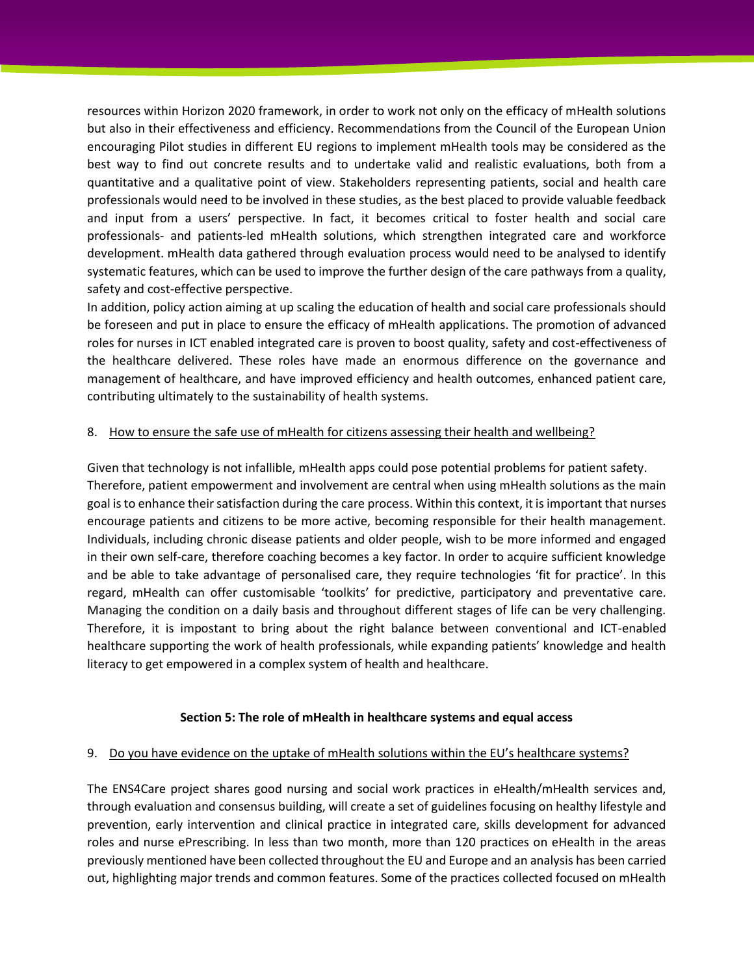resources within Horizon 2020 framework, in order to work not only on the efficacy of mHealth solutions but also in their effectiveness and efficiency. Recommendations from the Council of the European Union encouraging Pilot studies in different EU regions to implement mHealth tools may be considered as the best way to find out concrete results and to undertake valid and realistic evaluations, both from a quantitative and a qualitative point of view. Stakeholders representing patients, social and health care professionals would need to be involved in these studies, as the best placed to provide valuable feedback and input from a users' perspective. In fact, it becomes critical to foster health and social care professionals- and patients-led mHealth solutions, which strengthen integrated care and workforce development. mHealth data gathered through evaluation process would need to be analysed to identify systematic features, which can be used to improve the further design of the care pathways from a quality, safety and cost-effective perspective.

In addition, policy action aiming at up scaling the education of health and social care professionals should be foreseen and put in place to ensure the efficacy of mHealth applications. The promotion of advanced roles for nurses in ICT enabled integrated care is proven to boost quality, safety and cost-effectiveness of the healthcare delivered. These roles have made an enormous difference on the governance and management of healthcare, and have improved efficiency and health outcomes, enhanced patient care, contributing ultimately to the sustainability of health systems.

#### 8. How to ensure the safe use of mHealth for citizens assessing their health and wellbeing?

Given that technology is not infallible, mHealth apps could pose potential problems for patient safety. Therefore, patient empowerment and involvement are central when using mHealth solutions as the main goal is to enhance their satisfaction during the care process. Within this context, it is important that nurses encourage patients and citizens to be more active, becoming responsible for their health management. Individuals, including chronic disease patients and older people, wish to be more informed and engaged in their own self-care, therefore coaching becomes a key factor. In order to acquire sufficient knowledge and be able to take advantage of personalised care, they require technologies 'fit for practice'. In this regard, mHealth can offer customisable 'toolkits' for predictive, participatory and preventative care. Managing the condition on a daily basis and throughout different stages of life can be very challenging. Therefore, it is impostant to bring about the right balance between conventional and ICT-enabled healthcare supporting the work of health professionals, while expanding patients' knowledge and health literacy to get empowered in a complex system of health and healthcare.

### **Section 5: The role of mHealth in healthcare systems and equal access**

#### 9. Do you have evidence on the uptake of mHealth solutions within the EU's healthcare systems?

The ENS4Care project shares good nursing and social work practices in eHealth/mHealth services and, through evaluation and consensus building, will create a set of guidelines focusing on healthy lifestyle and prevention, early intervention and clinical practice in integrated care, skills development for advanced roles and nurse ePrescribing. In less than two month, more than 120 practices on eHealth in the areas previously mentioned have been collected throughout the EU and Europe and an analysis has been carried out, highlighting major trends and common features. Some of the practices collected focused on mHealth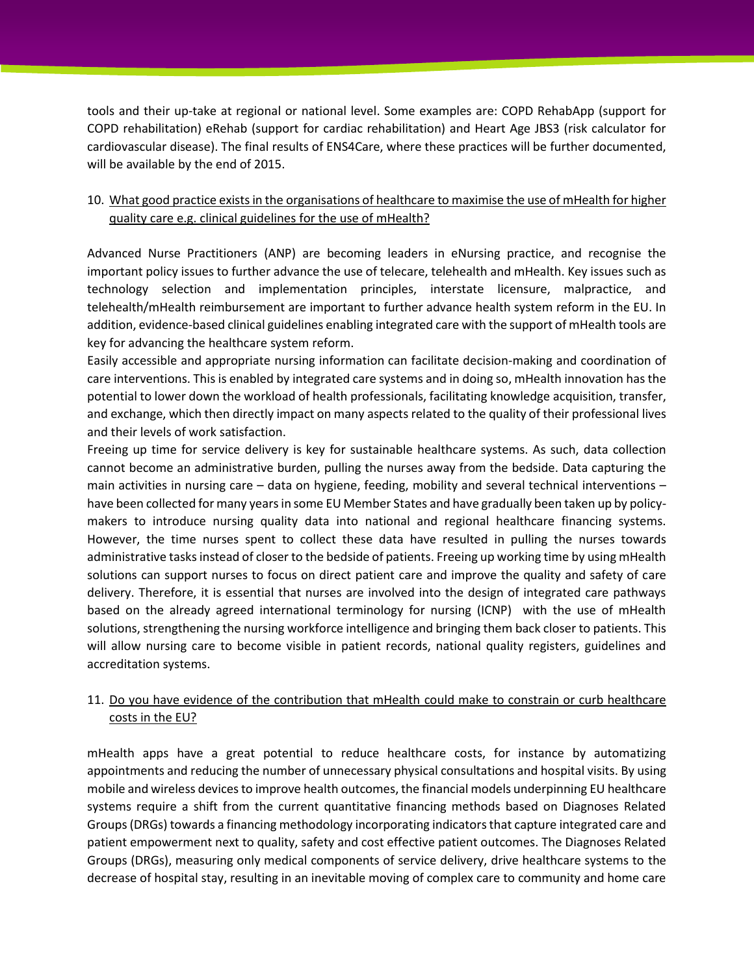tools and their up-take at regional or national level. Some examples are: COPD RehabApp (support for COPD rehabilitation) eRehab (support for cardiac rehabilitation) and Heart Age JBS3 (risk calculator for cardiovascular disease). The final results of ENS4Care, where these practices will be further documented, will be available by the end of 2015.

# 10. What good practice exists in the organisations of healthcare to maximise the use of mHealth for higher quality care e.g. clinical guidelines for the use of mHealth?

Advanced Nurse Practitioners (ANP) are becoming leaders in eNursing practice, and recognise the important policy issues to further advance the use of telecare, telehealth and mHealth. Key issues such as technology selection and implementation principles, interstate licensure, malpractice, and telehealth/mHealth reimbursement are important to further advance health system reform in the EU. In addition, evidence-based clinical guidelines enabling integrated care with the support of mHealth tools are key for advancing the healthcare system reform.

Easily accessible and appropriate nursing information can facilitate decision-making and coordination of care interventions. This is enabled by integrated care systems and in doing so, mHealth innovation has the potential to lower down the workload of health professionals, facilitating knowledge acquisition, transfer, and exchange, which then directly impact on many aspects related to the quality of their professional lives and their levels of work satisfaction.

Freeing up time for service delivery is key for sustainable healthcare systems. As such, data collection cannot become an administrative burden, pulling the nurses away from the bedside. Data capturing the main activities in nursing care – data on hygiene, feeding, mobility and several technical interventions – have been collected for many years in some EU Member States and have gradually been taken up by policymakers to introduce nursing quality data into national and regional healthcare financing systems. However, the time nurses spent to collect these data have resulted in pulling the nurses towards administrative tasks instead of closer to the bedside of patients. Freeing up working time by using mHealth solutions can support nurses to focus on direct patient care and improve the quality and safety of care delivery. Therefore, it is essential that nurses are involved into the design of integrated care pathways based on the already agreed international terminology for nursing (ICNP) with the use of mHealth solutions, strengthening the nursing workforce intelligence and bringing them back closer to patients. This will allow nursing care to become visible in patient records, national quality registers, guidelines and accreditation systems.

# 11. Do you have evidence of the contribution that mHealth could make to constrain or curb healthcare costs in the EU?

mHealth apps have a great potential to reduce healthcare costs, for instance by automatizing appointments and reducing the number of unnecessary physical consultations and hospital visits. By using mobile and wireless devices to improve health outcomes, the financial models underpinning EU healthcare systems require a shift from the current quantitative financing methods based on Diagnoses Related Groups (DRGs) towards a financing methodology incorporating indicators that capture integrated care and patient empowerment next to quality, safety and cost effective patient outcomes. The Diagnoses Related Groups (DRGs), measuring only medical components of service delivery, drive healthcare systems to the decrease of hospital stay, resulting in an inevitable moving of complex care to community and home care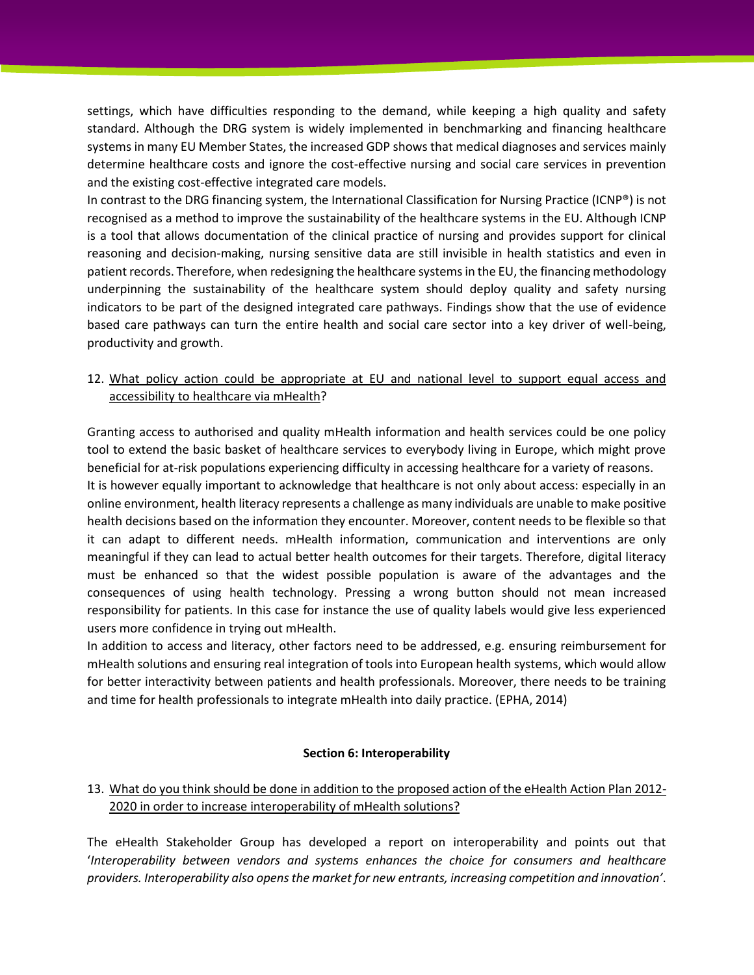settings, which have difficulties responding to the demand, while keeping a high quality and safety standard. Although the DRG system is widely implemented in benchmarking and financing healthcare systems in many EU Member States, the increased GDP shows that medical diagnoses and services mainly determine healthcare costs and ignore the cost-effective nursing and social care services in prevention and the existing cost-effective integrated care models.

In contrast to the DRG financing system, the International Classification for Nursing Practice (ICNP®) is not recognised as a method to improve the sustainability of the healthcare systems in the EU. Although ICNP is a tool that allows documentation of the clinical practice of nursing and provides support for clinical reasoning and decision-making, nursing sensitive data are still invisible in health statistics and even in patient records. Therefore, when redesigning the healthcare systems in the EU, the financing methodology underpinning the sustainability of the healthcare system should deploy quality and safety nursing indicators to be part of the designed integrated care pathways. Findings show that the use of evidence based care pathways can turn the entire health and social care sector into a key driver of well-being, productivity and growth.

# 12. What policy action could be appropriate at EU and national level to support equal access and accessibility to healthcare via mHealth?

Granting access to authorised and quality mHealth information and health services could be one policy tool to extend the basic basket of healthcare services to everybody living in Europe, which might prove beneficial for at-risk populations experiencing difficulty in accessing healthcare for a variety of reasons. It is however equally important to acknowledge that healthcare is not only about access: especially in an online environment, health literacy represents a challenge as many individuals are unable to make positive health decisions based on the information they encounter. Moreover, content needs to be flexible so that it can adapt to different needs. mHealth information, communication and interventions are only meaningful if they can lead to actual better health outcomes for their targets. Therefore, digital literacy must be enhanced so that the widest possible population is aware of the advantages and the consequences of using health technology. Pressing a wrong button should not mean increased responsibility for patients. In this case for instance the use of quality labels would give less experienced users more confidence in trying out mHealth.

In addition to access and literacy, other factors need to be addressed, e.g. ensuring reimbursement for mHealth solutions and ensuring real integration of tools into European health systems, which would allow for better interactivity between patients and health professionals. Moreover, there needs to be training and time for health professionals to integrate mHealth into daily practice. (EPHA, 2014)

#### **Section 6: Interoperability**

# 13. What do you think should be done in addition to the proposed action of the eHealth Action Plan 2012- 2020 in order to increase interoperability of mHealth solutions?

The eHealth Stakeholder Group has developed a report on interoperability and points out that '*Interoperability between vendors and systems enhances the choice for consumers and healthcare providers. Interoperability also opens the market for new entrants, increasing competition and innovation'*.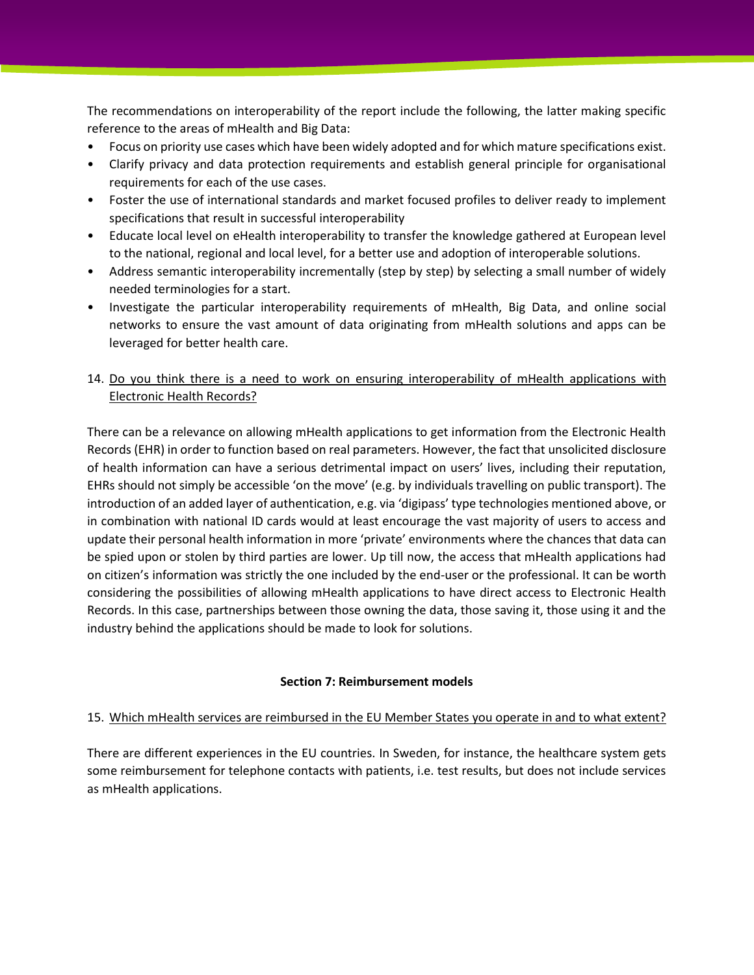The recommendations on interoperability of the report include the following, the latter making specific reference to the areas of mHealth and Big Data:

- Focus on priority use cases which have been widely adopted and for which mature specifications exist.
- Clarify privacy and data protection requirements and establish general principle for organisational requirements for each of the use cases.
- Foster the use of international standards and market focused profiles to deliver ready to implement specifications that result in successful interoperability
- Educate local level on eHealth interoperability to transfer the knowledge gathered at European level to the national, regional and local level, for a better use and adoption of interoperable solutions.
- Address semantic interoperability incrementally (step by step) by selecting a small number of widely needed terminologies for a start.
- Investigate the particular interoperability requirements of mHealth, Big Data, and online social networks to ensure the vast amount of data originating from mHealth solutions and apps can be leveraged for better health care.
- 14. Do you think there is a need to work on ensuring interoperability of mHealth applications with Electronic Health Records?

There can be a relevance on allowing mHealth applications to get information from the Electronic Health Records (EHR) in order to function based on real parameters. However, the fact that unsolicited disclosure of health information can have a serious detrimental impact on users' lives, including their reputation, EHRs should not simply be accessible 'on the move' (e.g. by individuals travelling on public transport). The introduction of an added layer of authentication, e.g. via 'digipass' type technologies mentioned above, or in combination with national ID cards would at least encourage the vast majority of users to access and update their personal health information in more 'private' environments where the chances that data can be spied upon or stolen by third parties are lower. Up till now, the access that mHealth applications had on citizen's information was strictly the one included by the end-user or the professional. It can be worth considering the possibilities of allowing mHealth applications to have direct access to Electronic Health Records. In this case, partnerships between those owning the data, those saving it, those using it and the industry behind the applications should be made to look for solutions.

### **Section 7: Reimbursement models**

### 15. Which mHealth services are reimbursed in the EU Member States you operate in and to what extent?

There are different experiences in the EU countries. In Sweden, for instance, the healthcare system gets some reimbursement for telephone contacts with patients, i.e. test results, but does not include services as mHealth applications.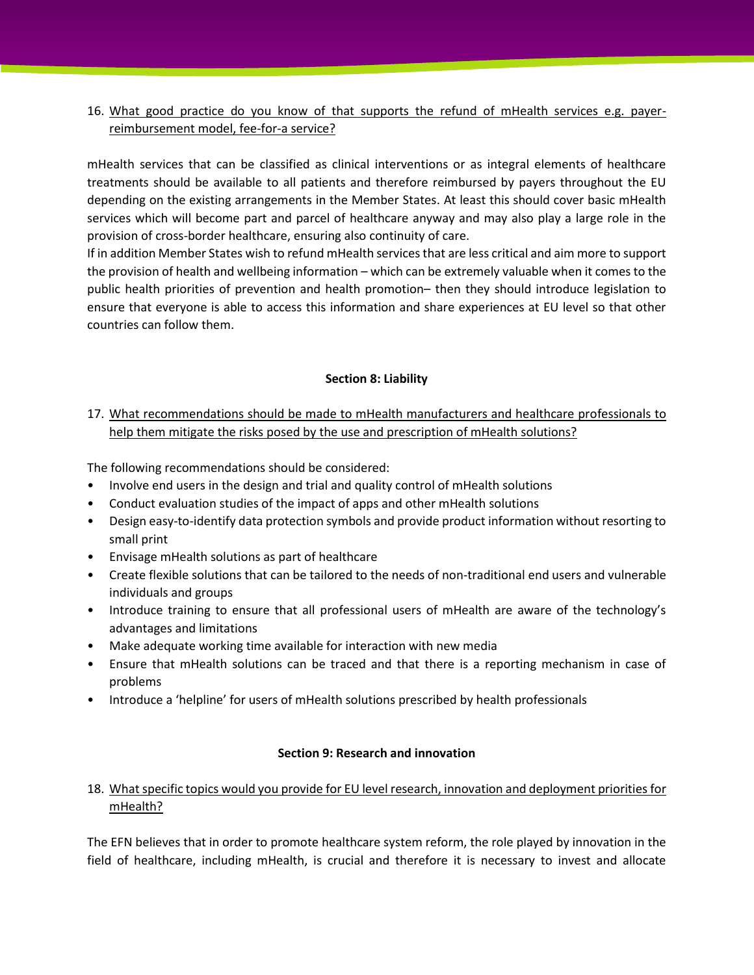# 16. What good practice do you know of that supports the refund of mHealth services e.g. payerreimbursement model, fee-for-a service?

mHealth services that can be classified as clinical interventions or as integral elements of healthcare treatments should be available to all patients and therefore reimbursed by payers throughout the EU depending on the existing arrangements in the Member States. At least this should cover basic mHealth services which will become part and parcel of healthcare anyway and may also play a large role in the provision of cross-border healthcare, ensuring also continuity of care.

If in addition Member States wish to refund mHealth services that are less critical and aim more to support the provision of health and wellbeing information – which can be extremely valuable when it comes to the public health priorities of prevention and health promotion– then they should introduce legislation to ensure that everyone is able to access this information and share experiences at EU level so that other countries can follow them.

### **Section 8: Liability**

# 17. What recommendations should be made to mHealth manufacturers and healthcare professionals to help them mitigate the risks posed by the use and prescription of mHealth solutions?

The following recommendations should be considered:

- Involve end users in the design and trial and quality control of mHealth solutions
- Conduct evaluation studies of the impact of apps and other mHealth solutions
- Design easy-to-identify data protection symbols and provide product information without resorting to small print
- Envisage mHealth solutions as part of healthcare
- Create flexible solutions that can be tailored to the needs of non-traditional end users and vulnerable individuals and groups
- Introduce training to ensure that all professional users of mHealth are aware of the technology's advantages and limitations
- Make adequate working time available for interaction with new media
- Ensure that mHealth solutions can be traced and that there is a reporting mechanism in case of problems
- Introduce a 'helpline' for users of mHealth solutions prescribed by health professionals

#### **Section 9: Research and innovation**

# 18. What specific topics would you provide for EU level research, innovation and deployment priorities for mHealth?

The EFN believes that in order to promote healthcare system reform, the role played by innovation in the field of healthcare, including mHealth, is crucial and therefore it is necessary to invest and allocate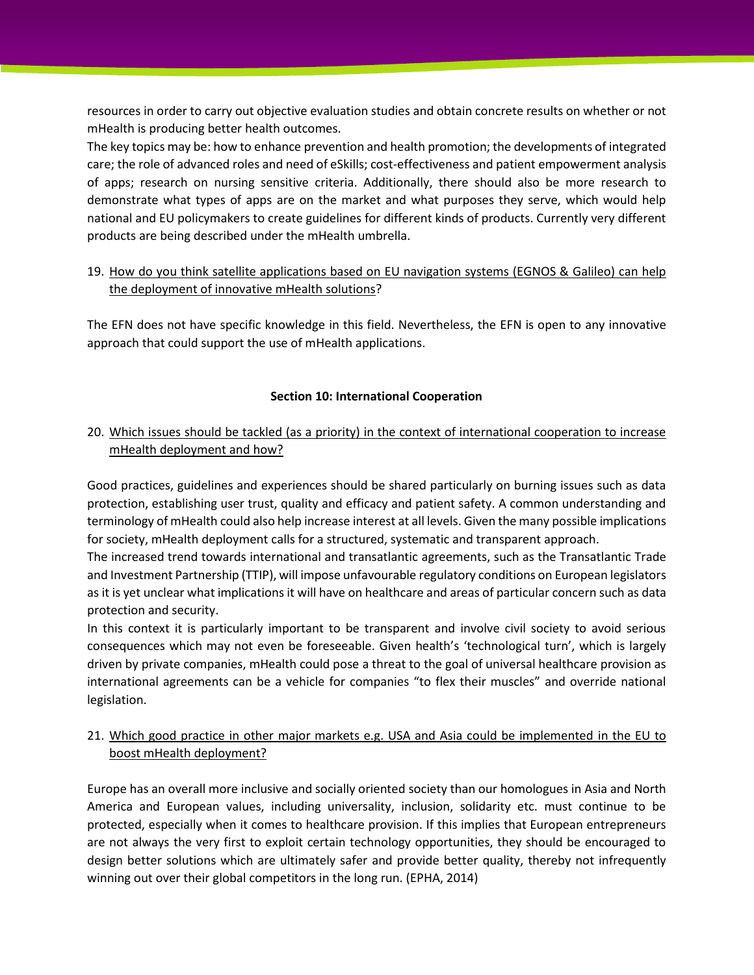resources in order to carry out objective evaluation studies and obtain concrete results on whether or not mHealth is producing better health outcomes.

The key topics may be: how to enhance prevention and health promotion; the developments of integrated care; the role of advanced roles and need of eSkills; cost-effectiveness and patient empowerment analysis of apps; research on nursing sensitive criteria. Additionally, there should also be more research to demonstrate what types of apps are on the market and what purposes they serve, which would help national and EU policymakers to create guidelines for different kinds of products. Currently very different products are being described under the mHealth umbrella.

### 19. How do you think satellite applications based on EU navigation systems (EGNOS & Galileo) can help the deployment of innovative mHealth solutions?

The EFN does not have specific knowledge in this field. Nevertheless, the EFN is open to any innovative approach that could support the use of mHealth applications.

### **Section 10: International Cooperation**

### 20. Which issues should be tackled (as a priority) in the context of international cooperation to increase mHealth deployment and how?

Good practices, guidelines and experiences should be shared particularly on burning issues such as data protection, establishing user trust, quality and efficacy and patient safety. A common understanding and terminology of mHealth could also help increase interest at all levels. Given the many possible implications for society, mHealth deployment calls for a structured, systematic and transparent approach.

The increased trend towards international and transatlantic agreements, such as the Transatlantic Trade and Investment Partnership (TTIP), will impose unfavourable regulatory conditions on European legislators as it is yet unclear what implications it will have on healthcare and areas of particular concern such as data protection and security.

In this context it is particularly important to be transparent and involve civil society to avoid serious consequences which may not even be foreseeable. Given health's 'technological turn', which is largely driven by private companies, mHealth could pose a threat to the goal of universal healthcare provision as international agreements can be a vehicle for companies "to flex their muscles" and override national legislation.

### 21. Which good practice in other major markets e.g. USA and Asia could be implemented in the EU to boost mHealth deployment?

Europe has an overall more inclusive and socially oriented society than our homologues in Asia and North America and European values, including universality, inclusion, solidarity etc. must continue to be protected, especially when it comes to healthcare provision. If this implies that European entrepreneurs are not always the very first to exploit certain technology opportunities, they should be encouraged to design better solutions which are ultimately safer and provide better quality, thereby not infrequently winning out over their global competitors in the long run. (EPHA, 2014)